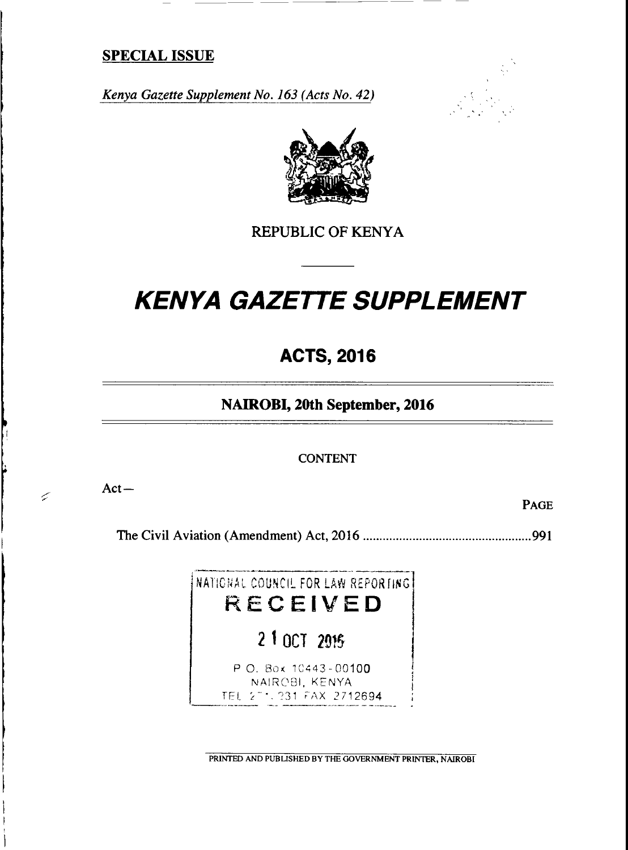## SPECIAL ISSUE

Kenya Gazette Supplement No. 163 (Acts No.42)





## REPUBLIC OF KENYA

# KENYA GAZETTE SUPPLEMENT

## **ACTS, 2016**

NAIROBI, 20th September, 2016

CONTENT

 $Act-$ 

 $\overline{\mathscr{L}}$ 

PAGE

The Civil Aviation (Amendment) Act,2016 ........... ....................991

NATIONAL COUNCIL FOR LAW REPORTING RECEIVED

## 2 1 OCT 2015

P O. Box 10443-00100 NAIROBI, KENYA TEL 271, 231 FAX 2712694

PRINTED AND PUBLISHED BY THE GOVERNMENT PRINTER, NAIROBI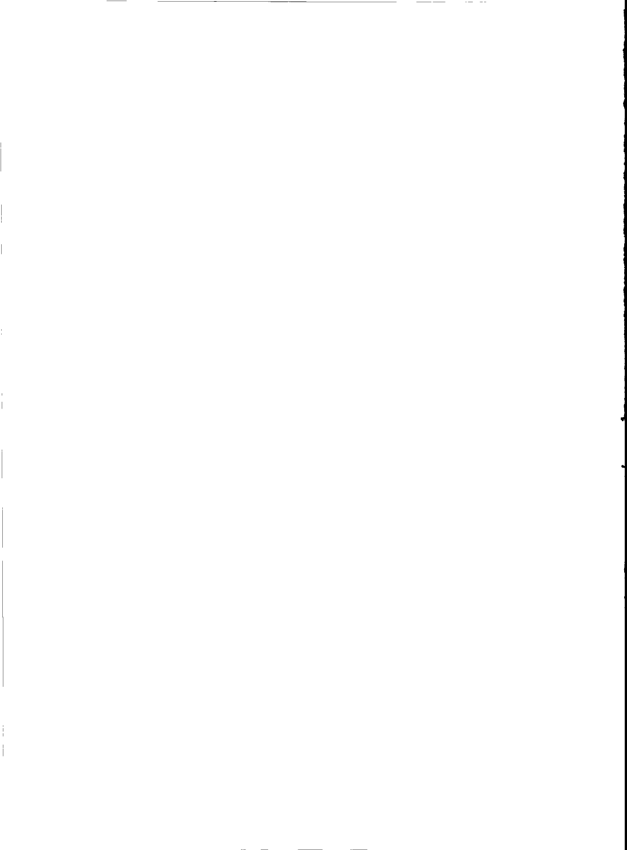Ì,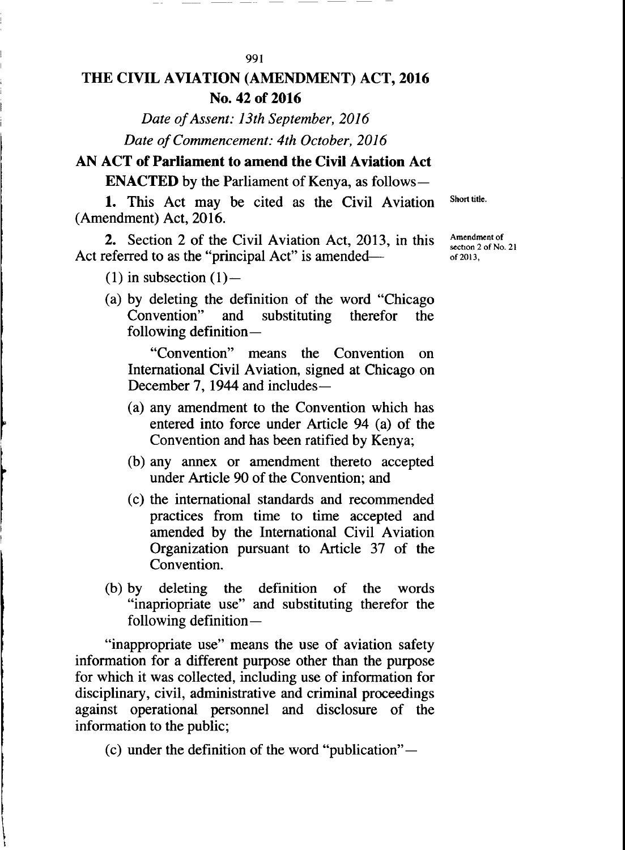## THE CIYIL AYIATION (AMENDMENT) ACT, 2016 No. 42 of 2016

Date of Assent: l3th September, 2016

Date of Commencement: 4th October, 2016

### AN ACT of Parliament to amend the Civil Aviation Act

ENACTED by the Parliament of Kenya, as follows-

1. This Act may be cited as the Civil Aviation (Amendment) Act, 2016.

2. Section 2 of the Civil Aviation Act, 2013, in this Act referred to as the "principal Act" is amendedShort title.

Amendment of section 2 of No. 21 of 2013.

- (1) in subsection  $(1)$ —
- (a) by deleting the definition of the word "Chicago Convention" and substituting therefor the following definition-

"Convention" means the Convention on International Civil Aviation, signed at Chicago on December 7, 1944 and includes-

- (a) any amendment to the Convention which has entered into force under Article 94 (a) of the Convention and has been ratified by Kenya;
- (b) any annex or amendment thereto accepted under Article 90 of the Convention; and
- (c) the international standards and recommended practices from time to time accepted and amended by the International Civil Aviation Organization pursuant to Article 37 of the Convention.
- (b) by deleting the definition of the words "inapriopriate use" and substituting therefor the following definition-

"inappropriate use" means the use of aviation safety information for a different purpose other than the purpose for which it was collected, including use of information for disciplinary, civil, administrative and criminal proceedings against operational personnel and disclosure of the information to the public;

(c) under the definition of the word "publication" $-$ 

991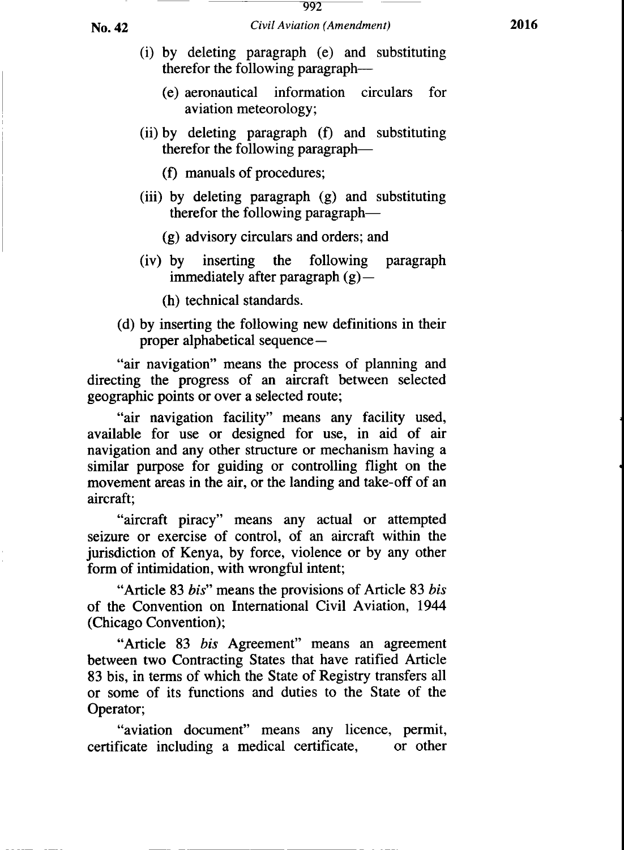- 
- (i) by deleting paragraph (e) and substituting therefor the following paragraph-
	- (e) aeronautical information circulars for aviation meteorology;
- $(ii)$  by deleting paragraph  $(f)$  and substituting therefor the following paragraph-
	- (f) manuals of procedures;
- (iii) by deleting paragraph (g) and substituting therefor the following paragraph—
	- (g) advisory circulars and orders; and
- (iv) by inserting the following paragraph immediately after paragraph  $(g)$ —
	- (h) technical standards.
- (d) by inserting the following new definitions in their proper alphabetical sequence-

"air navigation" means the process of planning and directing the progress of an aircraft between selected geographic points or over a selected route;

"air navigation facility" means any facility used, available for use or designed for use, in aid of air navigation and any other structure or mechanism having a similar purpose for guiding or controlling flight on the movement areas in the air, or the landing and take-off of an aircraft;

"aircraft piracy" means any actual or attempted seizure or exercise of control, of an aircraft within the jurisdiction of Kenya, by force, violence or by any other form of intimidation, with wrongful intent;

"Article 83 bis" means the provisions of Article 83 bis of the Convention on International Civil Aviation, 1944 (Chicago Convention);

"Article 83 bis Agreement" means an agreement between two Contracting States that have ratified Article 83 bis, in terms of which the State of Registry transfers all or some of its functions and duties to the State of the Operator;

"aviation document" means any licence, permit, certificate including a medical certificate, or other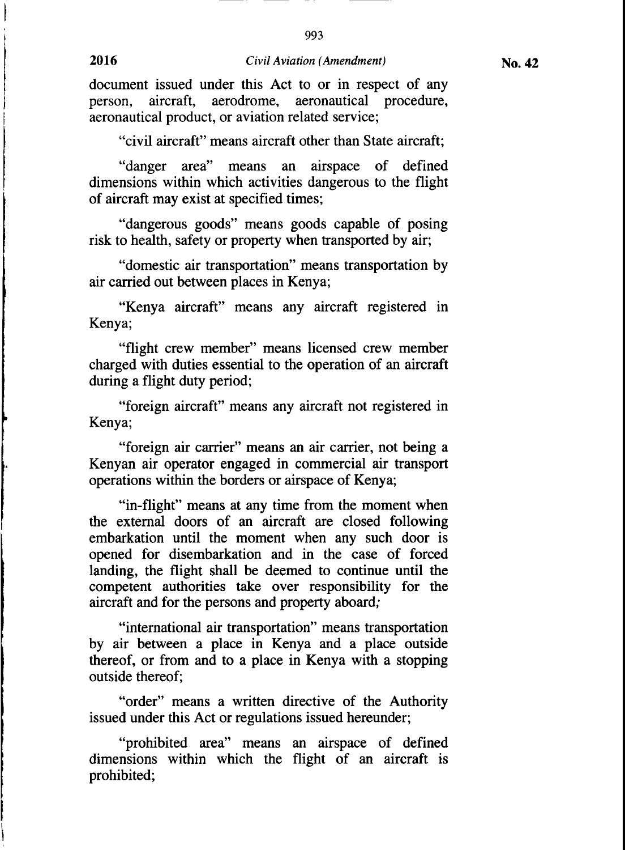document issued under this Act to or in respect of any person, aircraft, aerodrome, aeronautical procedure, aeronautical product, or aviation related service;

"civil aircraft" means aircraft other than State aircraft;

"danger area" means an airspace of defined dimensions within which activities dangerous to the flight of aircraft may exist at specified times;

"dangerous goods" means goods capable of posing risk to health, safety or property when transported by air;

"domestic air transportation" means transportation by air carried out between places in Kenya;

"Kenya aircraft" means any aircraft registered in Kenya;

"flight crew member" means licensed crew member charged with duties essential to the operation of an aircraft during a flight duty period;

"foreign aircraft" means any aircraft not registered in Kenya;

"foreign air carrier" means an air carrier, not being a Kenyan air operator engaged in commercial air transport operations within the borders or airspace of Kenya;

"in-flight" means at any time from the moment when the external doors of an aircraft are closed following embarkation until the moment when any such door is opened for disembarkation and in the case of forced landing, the flight shall be deemed to continue until the competent authorities take over responsibility for the aircraft and for the persons and property aboard,'

"international air transportation" means transportation by air between a place in Kenya and a place outside thereof, or from and to a place in Kenya with a stopping outside thereof;

"order" means a written directive of the Authority issued under this Act or regulations issued hereunder;

"prohibited area" means an airspace of defined dimensions within which the flight of an aircraft is prohibited;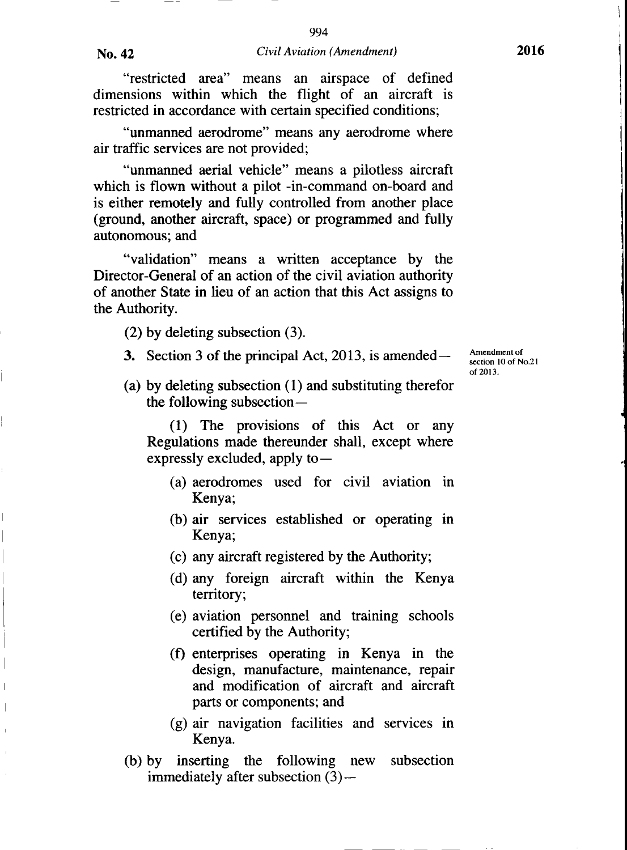"restricted area" means an airspace of defined dimensions within which the flight of an aircraft is restricted in accordance with certain specified conditions;

"unmanned aerodrome" means any aerodrome where air traffic services are not provided;

"unmanned aerial vehicle" means a pilotless aircraft which is flown without a pilot -in-command on-board and is either remotely and fully controlled from another place (ground, another aircraft, space) or programmed and fully autonomous; and

"validation" means a written acceptance by the Director-General of an action of the civil aviation authority of another State in lieu of an action that this Act assigns to the Authority.

(2) by deleting subsection (3).

- 3. Section 3 of the principal Act, 2013, is amended  $-$
- (a) by deleting subsection (1) and substituting therefor the following subsection—

(1) The provisions of this Act or any Regulations made thereunder shall, except where expressly excluded, apply to $-$ 

- (a) aerodromes used for civil aviation in Kenya;
- (b) air services established or operating in Kenya;
- (c) any aircraft registered by the Authority;
- (d) any foreign aircraft within the Kenya territory;
- (e) aviation personnel and training schools certified by the Authority;
- (f) enterprises operating in Kenya in the design, manufacture, maintenance, repair and modification of aircraft and aircraft parts or components; and
- (g) air navigation facilities and services in Kenya.
- (b) by inserting the following new subsection immediately after subsection  $(3)$  —

Amcndment of section 10 of No.21 of 2013.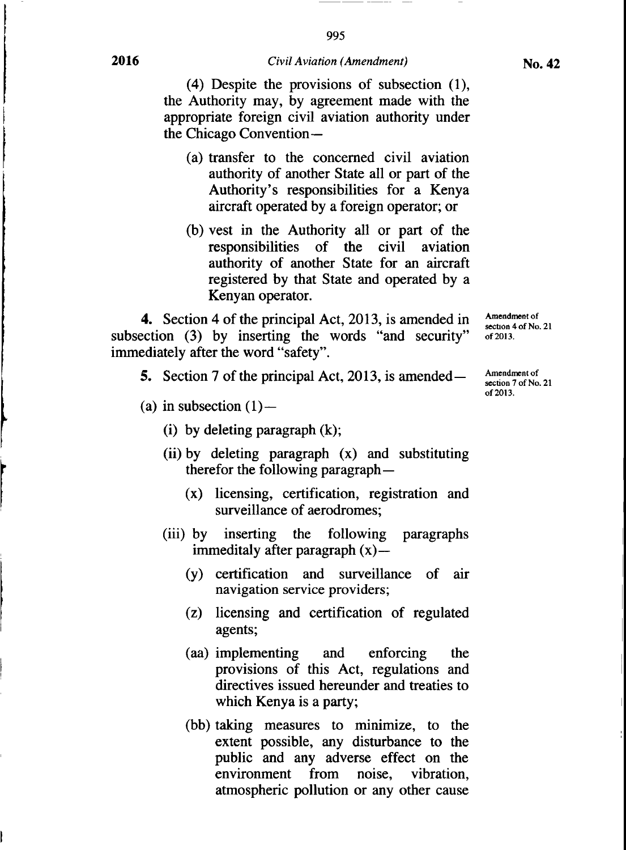995

(4) Despite the provisions of subsection (1), the Authority may, by agreement made with the appropriate foreign civil aviation authority under the Chicago Convention-

- (a) transfer to the concerned civil aviation authority of another State all or part of the Authority's responsibilities for a Kenya aircraft operated by a foreign operator; or
- (b) vest in the Authority all or part of the responsibilities of the civil aviation authority of another State for an aircraft registered by that State and operated by a Kenyan operator.

4. Section 4 of the principal Act, 2013, is amended in subsection (3) by inserting the words "and security" immediately after the word "safety".

- 5. Section 7 of the principal Act, 2013, is amended -
- (a) in subsection  $(1)$ 
	- (i) by deleting paragraph (k);
	- (ii) by deleting paragraph (x) and substituting therefor the following paragraph-
		- (x) licensing, certification, registration and surveillance of aerodromes;
	- (iii) by inserting the following paragraphs immeditaly after paragraph  $(x)$ —
		- (V) certification and surveillance of air navigation service providers;
		- (z) licensing and certification of regulated agents;
		- (aa) implementing and enforcing the provisions of this Act, regulations and directives issued hereunder and treaties to which Kenya is a party;
		- (bb) taking measures to minimize, to the extent possible, any disturbance to the public and any adverse effect on the environment from noise, vibration, atmospheric pollution or any other cause

Amendment of

Amendment of section 4 of No. 21 of 2013.

section 7 of No. 21 of 2013.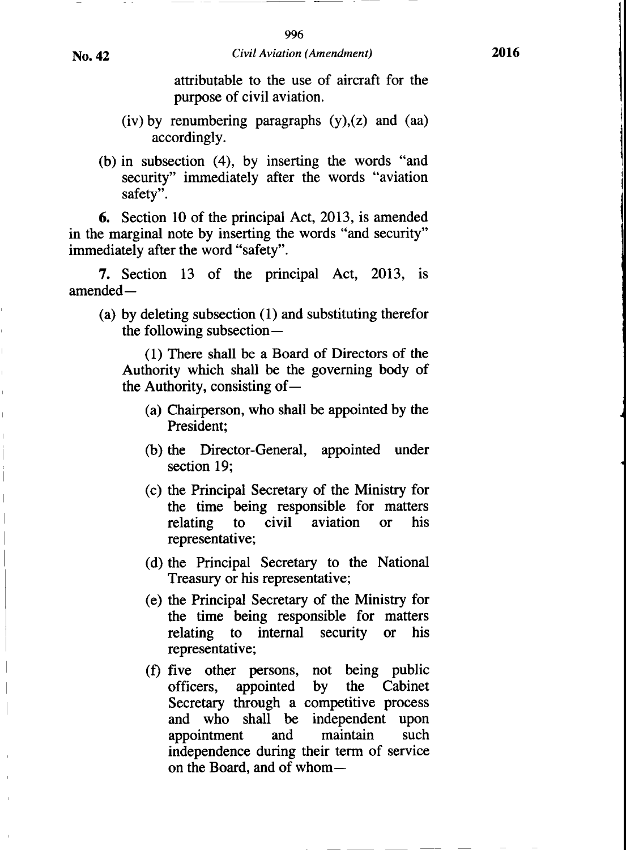attributable to the use of aircraft for the purpose of civil aviation.

- $(iv)$  by renumbering paragraphs  $(y)$ , $(z)$  and  $(aa)$ accordingly.
- (b) in subsection (4), by inserting the words "and security" immediately after the words "aviation safety".

6. Section 10 of the principal Act,2013, is amended in the marginal note by inserting the words "and security" immediately after the word "safety".

7. Section 13 of the principal Act, 2013, is amended-

(a) by deleting subsection (l) and substituting therefor the following subsection-

(1) There shall be a Board of Directors of the Authority which shall be the governing body of the Authority, consisting of-

- (a) Chairperson, who shall be appointed by the President;
- (b) the Director-General, appointed under section 19;
- (c) the Principal Secretary of the Ministry for the time being responsible for matters relating to civil aviation or his representative;
- (d) the Principal Secretary to the National Treasury or his representative;
- (e) the Principal Secretary of the Ministry for the time being responsible for matters relating to internal security or his representative;
- (f) five other persons, not being public appointed by the Secretary through a competitive process and who shall be independent upon appointment and maintain such independence during their term of service on the Board, and of whom-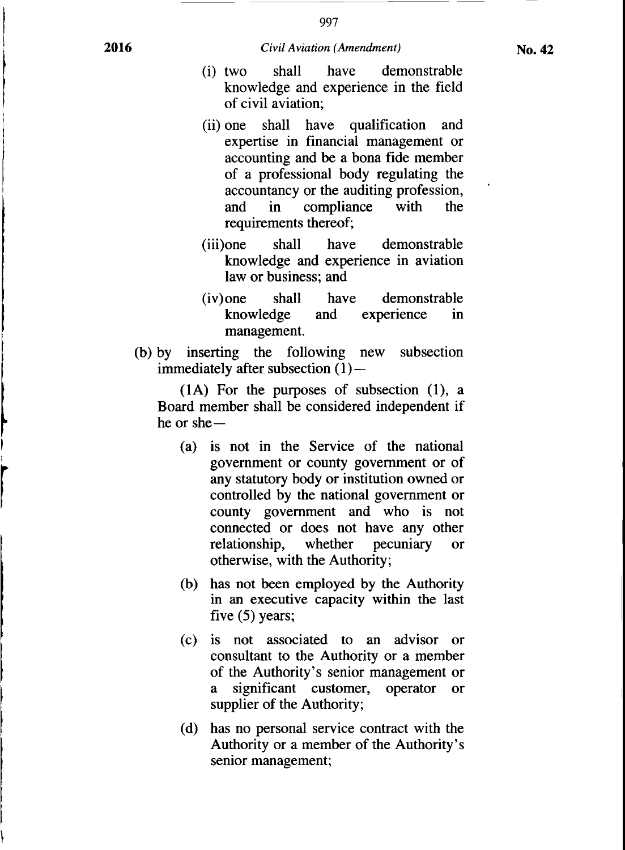- (i) two shall have demonstrable knowledge and experience in the field of civil aviation;
- (ii) one shall have qualification and expertise in financial management or accounting and be a bona fide member of a professional body regulating the accountancy or the auditing profession, and in compliance with the requirements thereof;
- (iii)one shall have demonstrable knowledge and experience in aviation law or business; and
- (iv)one shall knowledge management. have demonstrable and experience in
- (b) by inserting the following new subsection immediately after subsection  $(1)$ -

(lA) For the purposes of subsection (1), a Board member shall be considered independent if he or she $-$ 

- (a) is not in the Service of the national government or county government or of any statutory body or institution owned or controlled by the national government or county govemment and who is not connected or does not have any other relationship, whether pecuniary or otherwise, with the Authority;
- (b) has not been employed by the Authority in an executive capacity within the last five (5) years;
- (c) is not associated to an advisor or consultant to the Authority or a member of the Authority's senior management or a significant customer, operator or supplier of the Authority;
- (d) has no personal service contract with the Authority or a member of the Authority's senior management;

No.42

2016

II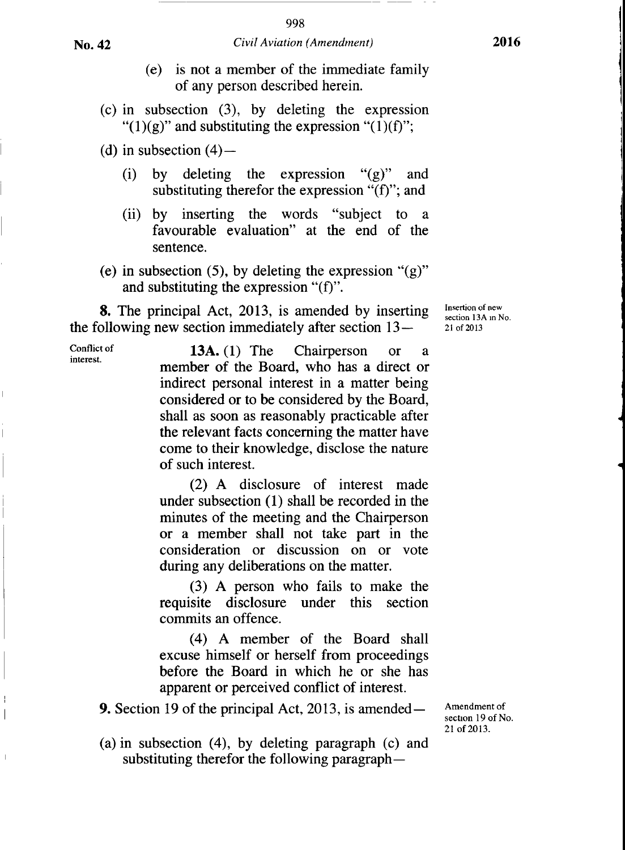- (e) is not a member of the immediate family of any person described herein.
- (c) in subsection (3), by deleting the expression " $(1)(g)$ " and substituting the expression " $(1)(f)$ ";
- (d) in subsection  $(4)$ 
	- (i) by deleting the expression "(g)" and substituting therefor the expression "(f)"; and
	- (ii) by inserting the words "subject to <sup>a</sup> favourable evaluation" at the end of the sentence.
- (e) in subsection (5), by deleting the expression " $(g)$ " and substituting the expression "(f)".

8. The principal Act, 2013, is amended by inserting the following new section immediately after section 13-

Conflict of interest.

13A. (1) The Chairperson or a member of the Board, who has a direct or indirect personal interest in a matter being considered or to be considered by the Board, shall as soon as reasonably practicable after the relevant facts concerning the matter have come to their knowledge, disclose the nature of such interest.

(2) A disclosure of interest made under subsection (l) shall be recorded in the minutes of the meeting and the Chairperson or a member shall not take part in the consideration or discussion on or vote during any deliberations on the matter.

(3) A person who fails to make the requisite disclosure under this section commits an offence.

(4) A member of the Board shall excuse himself or herself from proceedings before the Board in which he or she has apparent or perceived conflict of interest.

**9.** Section 19 of the principal Act, 2013, is amended $-$ 

(a) in subsection (4), by deleting paragraph (c) and substituting therefor the following paragraph -

Insrtion of new section 13A in No. 2l of 2Ol3

Amendment of section 19 of No. 2l of2013.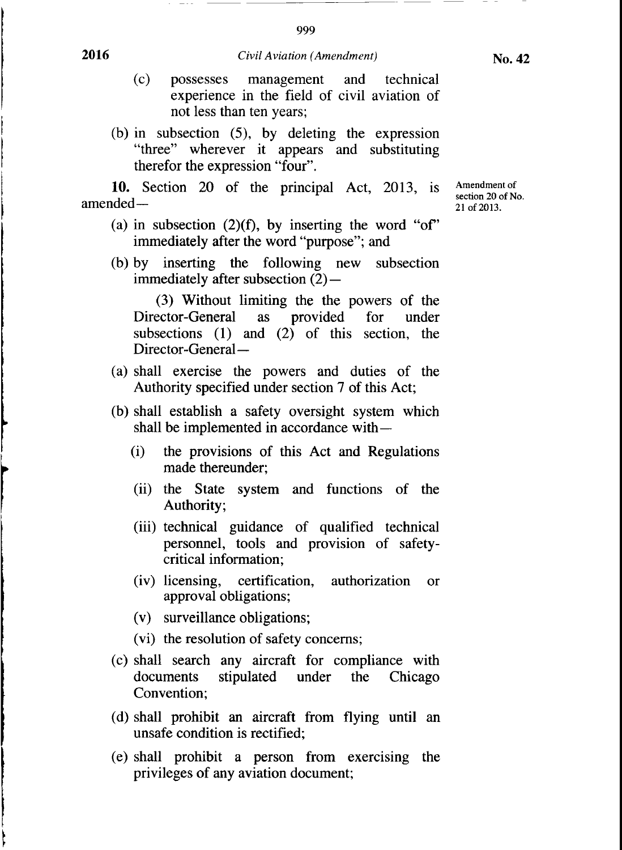- (c) possesses management and technical experience in the field of civil aviation of not less than ten years;
- (b) in subsection (5), by deleting the expression "three" wherever it appears and substituting therefor the expression "four".

10. Section 20 of the principal Act, 2013, is Amendment of amended— $\frac{20}{\text{cm}}$  of the principal Act,  $\frac{2013}{\text{cm}}$ , is section 20 of No.

- (a) in subsection  $(2)(f)$ , by inserting the word "of" immediately after the word "purpose"; and
- (b) by inserting the following new subsection immediately after subsection  $(2)$ -

(3) Without limiting the the powers of the Director-General as provided for under subsections (1) and (2) of this section, the Director-General-

- (a) shall exercise the powers and duties of the Authority specified under section 7 of this Act;
- (b) shall establish a safety oversight system which shall be implemented in accordance with-
	- (i) the provisions of this Act and Regulations made thereunder;
	- (ii) the State system and functions of the Authority;
	- (iii) technical guidance of qualified technical personnel, tools and provision of safetycritical information;
	- (iv) licensing, certification, authorization or approval obligations;
	- (v) surveillance obligations;
	- (vi) the resolution of safety concerns;
- (c) shall search any aircraft for compliance with documents stipulated under the Chicago Convention;
- (d) shall prohibit an aircraft from flying until an unsafe condition is rectified;
- (e) shall prohibit a person from exercising the privileges of any aviation document;

No. 42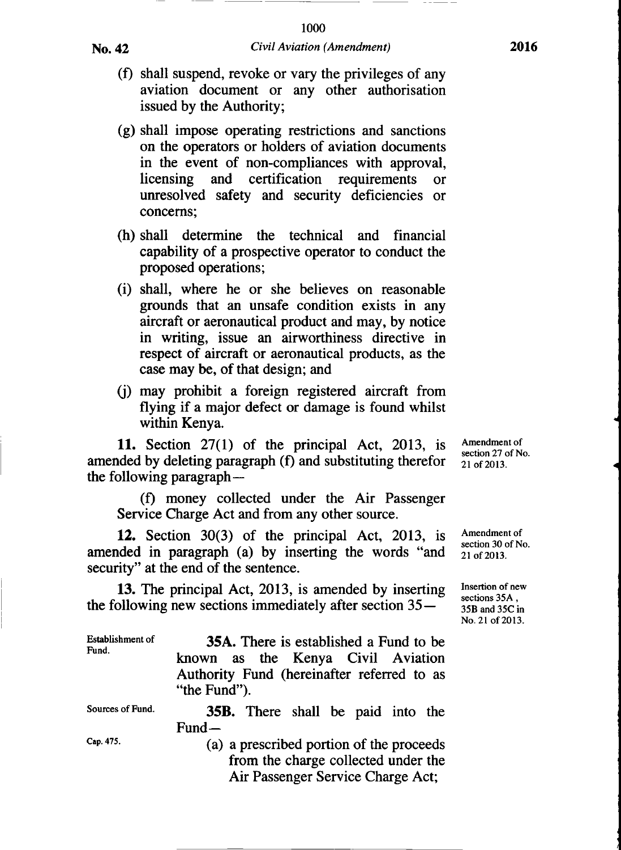#### No. 42 Civil Aviation (Amendment)

- $(f)$  shall suspend, revoke or vary the privileges of any aviation document or any other authorisation issued by the Authority;
- (g) shall impose operating restrictions and sanctions on the operators or holders of aviation documents in the event of non-compliances with approval, licensing and certification requirements or unresolved safety and security deficiencies or concerns;
- (h) shall determine the technical and financial capability of a prospective operator to conduct the proposed operations;
- (i) shall, where he or she believes on reasonable grounds that an unsafe condition exists in any aircraft or aeronautical product and may, by notice in writing, issue an airworthiness directive in respect of aircraft or aeronautical products, as the case may be, of that design; and
- 0) may prohibit a foreign registered aircraft from flying if a major defect or damage is found whilst within Kenya.

11. Section 27(1) of the principal Act, 2013, is  $\frac{\text{Amendment of}}{\text{section 27 of No.}}$ amended by deleting paragraph (f) and substituting therefor  $\frac{\text{secum }27.6}{21.612013}$ the following paragraph-

(f) money collected under the Air Passenger Service Charge Act and from any other source.

12. Section 30(3) of the principal Act, 2013, is amended in paragraph (a) by inserting the words "and security" at the end of the sentence.

13. The principal Act, 2013, is amended by inserting the following new sections immediately after section  $35-$ 

Amendment of section 30 of No. 2l of 2O13.

Insertion of new sections 35A , 35B and 35C in No. 21 of 2013.

Fund.

35A. There is established a Fund to be known as the Kenya Civil Aviation Authority Fund (hereinafter referred to as "the Fund").

358. There shall be paid into the Fund-

> (a) a prescribed portion of the proceeds from the charge collected under the Air Passenger Service Charge Act;

Establishment of

Sources of Fund.

Cap.475.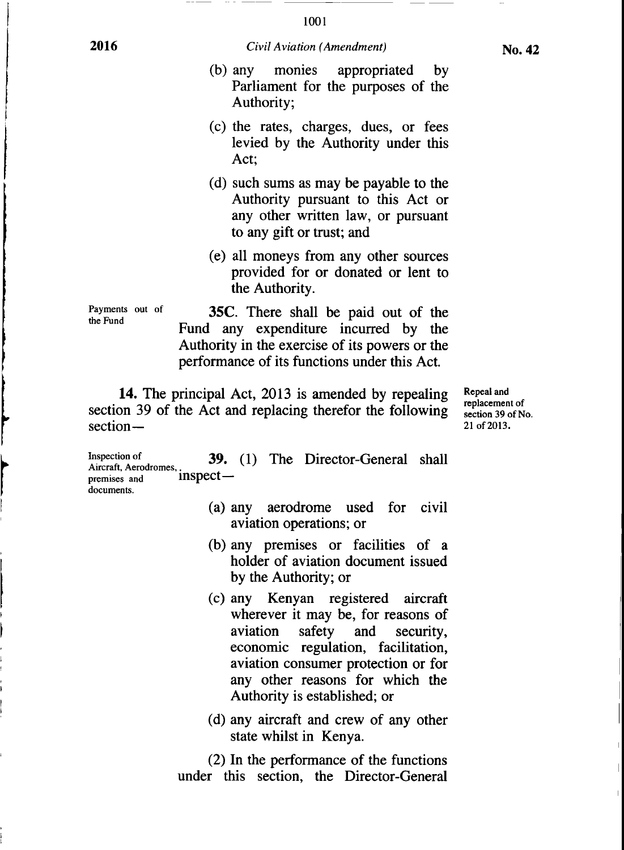- (b) any monies appropriated by Parliament for the purposes of the Authority;
- (c) the rates, charges, dues, or fees levied by the Authority under this Act;
- (d) such sums as may be payable to the Authority pursuant to this Act or any other written law, or pursuant to any gift or trust; and
- (e) all moneys from any other sources provided for or donated or lent to the Authority.

Payments out of the Fund 35C. There shall be paid out of the Fund any expenditure incurred by the Authority in the exercise of its powers or the performance of its functions under this Act.

14. The principal Act, 2013 is amended by repealing Repeal and section 39 of the Act and replacing therefor the following section  $\frac{1}{2}$  of  $2013$ .  $\text{section} \rightarrow \text{21 of 2013.}$ 

Inspection of **39.** (1) The Director-General shall Aricraft, Aerodromes, inspectdocuments.

- (a) any aerodrome used for civil aviation operations; or
- (b) any premises or facilities of <sup>a</sup> holder of aviation document issued by the Authority; or
- (c) any Kenyan registered aircraft wherever it may be, for reasons of aviation safety and security, economic regulation, facilitation, aviation consumer protection or for any other reasons for which the Authority is established; or
- (d) any aircraft and crew of any other state whilst in Kenya.

(2) ln the performance of the functions under this section, the Director-General

2016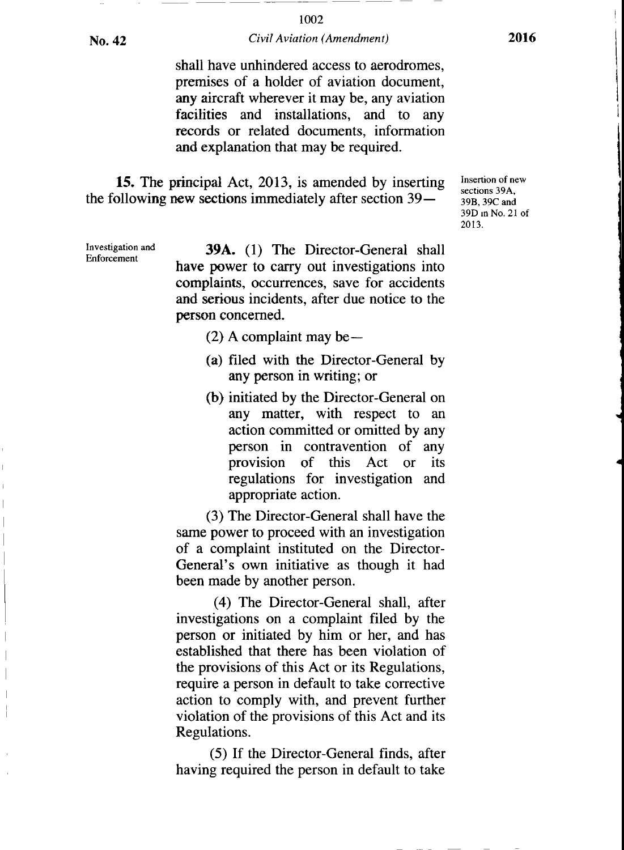shall have unhindered access to aerodromes, premises of a holder of aviation document, any aircraft wherever it may be, any aviation facilities and installations, and to any records or related documents, information and explanation that may be required.

15. The principal Act, 2013, is amended by inserting Insertion of new the following new sections immediately after section  $39-$  lines  $39<sub>rs</sub>$ ;

39D in No. 21 of 2013.

Investigation and Enforcement

39A. (1) The Director-General shall have power to carry out investigations into complaints, occurrences, save for accidents and serious incidents, after due notice to the person eoncerned.

- $(2)$  A complaint may be  $-$
- (a) filed with the Director-General by any person in writing; or
- (b) initiated by the Director-General on any matter, with respect to an action committed or omitted by any person in contravention of any provision of this Act or its regulations for investigation and appropriate action.

(3) The Director-General shall have the same power to proceed with an investigation of a complaint instituted on the Director-General's own initiative as though it had been made by another person.

(4) The Director-General shall, after investigations on a complaint filed by the person or initiated by him or her, and has established that there has been violation of the provisions of this Act or its Regulations, require a person in default to take corrective action to comply with, and prevent further violation of the provisions of this Act and its Regulations.

(5) If the Director-General finds, after having required the person in default to take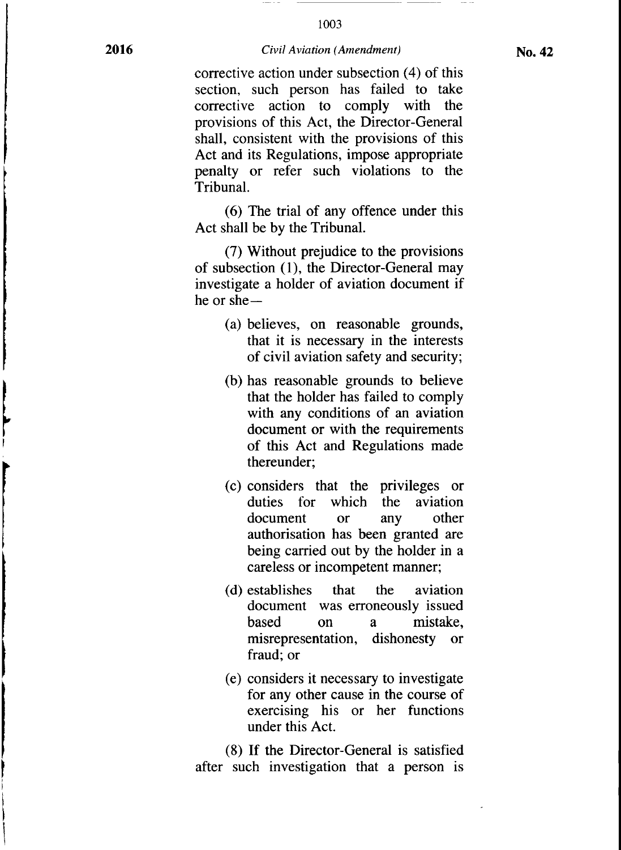#### Civil Aviation ( Amendment )

corrective action under subsection (4) of this section, such person has failed to take corrective action to comply with the provisions of this Act, the Director-General shall, consistent with the provisions of this Act and its Regulations, impose appropriate penalty or refer such violations to the Tribunal.

(6) The trial of any offence under this Act shall be by the Tribunal.

(7) Without prejudice to the provisions of subsection (1), the Director-General may investigate a holder of aviation document if he or she $-$ 

- (a) believes, on reasonable grounds, that it is necessary in the interests of civil aviation safety and security;
- (b) has reasonable grounds to believe that the holder has failed to comply with any conditions of an aviation document or with the requirements of this Act and Regulations made thereunder;
- (c) considers that the privileges or duties for which the aviation document or any other authorisation has been granted are being carried out by the holder in a careless or incompetent manner;
- (d) establishes that the aviation document was eroneously issued based on a mistake, misrepresentation, dishonesty or fraud; or
- (e) considers it necessary to investigate for any other cause in the course of exercising his or her functions under this Act.

(8) If the Director-General is satisfied after such investigation that a person is

2016

rI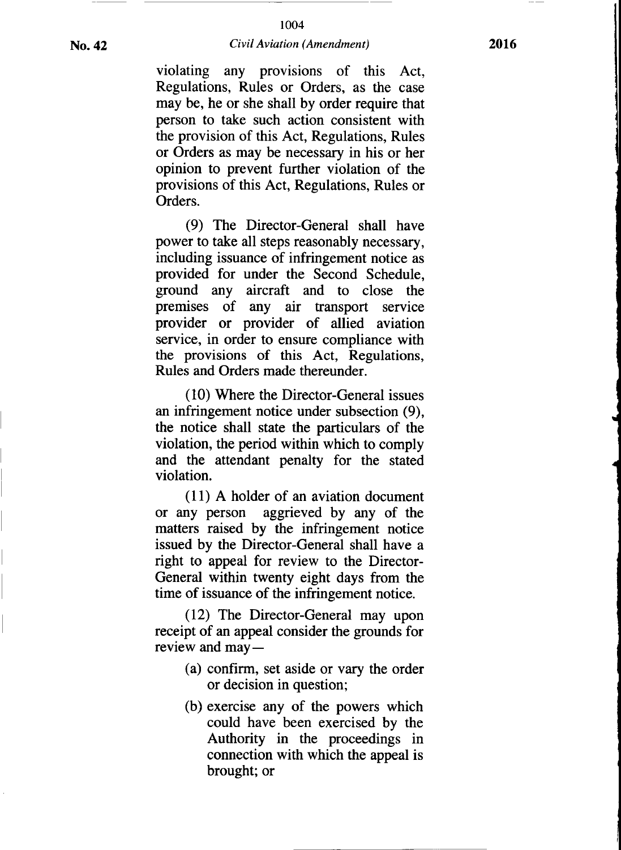violating any provisions of this Act, Regulations, Rules or Orders, as the case may be, he or she shall by order require that person to take such action consistent with the provision of this Act, Regulations, Rules or Orders as may be necessary in his or her opinion to prevent further violation of the provisions of this Act, Regulations, Rules or Orders.

(9) The Director-General shall have power to take all steps reasonably necessary, including issuance of infringement notice as provided for under the Second Schedule, ground any aircraft and to close the premises of any air transport service provider or provider of allied aviation service, in order to ensure compliance with the provisions of this Act, Regulations, Rules and Orders made thereunder.

(10) Where the Director-General issues an infringement notice under subsection (9), the notice shall state the particulars of the violation, the period within which to comply and the attendant penalty for the stated violation.

(ll) A holder of an aviation document or any person aggrieved by any of the matters raised by the infringement notice issued by the Director-General shall have a right to appeal for review to the Director-General within twenty eight days from the time of issuance of the infringement notice.

(12) The Director-General may upon receipt of an appeal consider the grounds for review and may-

- (a) confirm, set aside or vary the order or decision in question;
- (b) exercise any of the powers which could have been exercised by the Authority in the proceedings in connection with which the appeal is brought; or

No. 42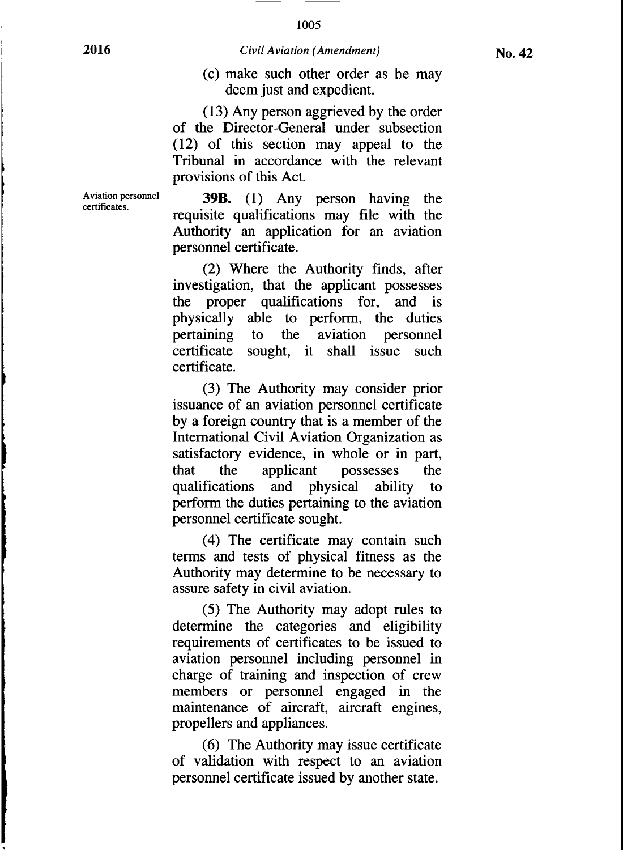1005

(c) make such other order as he may deem just and expedient.

(13) Any person aggrieved by the order of the Director-General under subsection (12) of this section may appeal to the Tribunal in accordance with the relevant provisions of this Act.

Aviation personnel certificates.

39B. (1) Any person having the requisite qualifications may file with the Authority an application for an aviation personnel certificate.

(2) Where the Authority finds, after investigation, that the applicant possesses the proper qualifications for, and is physically able to perform, the duties pertaining to the aviation personnel certificate sought, it shall issue such certificate.

(3) The Authority may consider prior issuance of an aviation personnel certificate by a foreign country that is a member of the International Civil Aviation Organization as satisfactory evidence, in whole or in part, that the applicant possesses the qualifications and physical ability to perform the duties pertaining to the aviation personnel certificate sought.

(4) The certificate may contain such terms and tests of physical fitness as the Authority may determine to be necessary to assure safety in civil aviation.

(5) The Authority may adopt rules to determine the categories and eligibility requirements of certificates to be issued to aviation personnel including personnel in charge of training and inspection of crew members or personnel engaged in the maintenance of aircraft, aircraft engines, propellers and appliances.

(6) The Authority may issue certificate of validation with respect to an aviation personnel certificate issued by another state.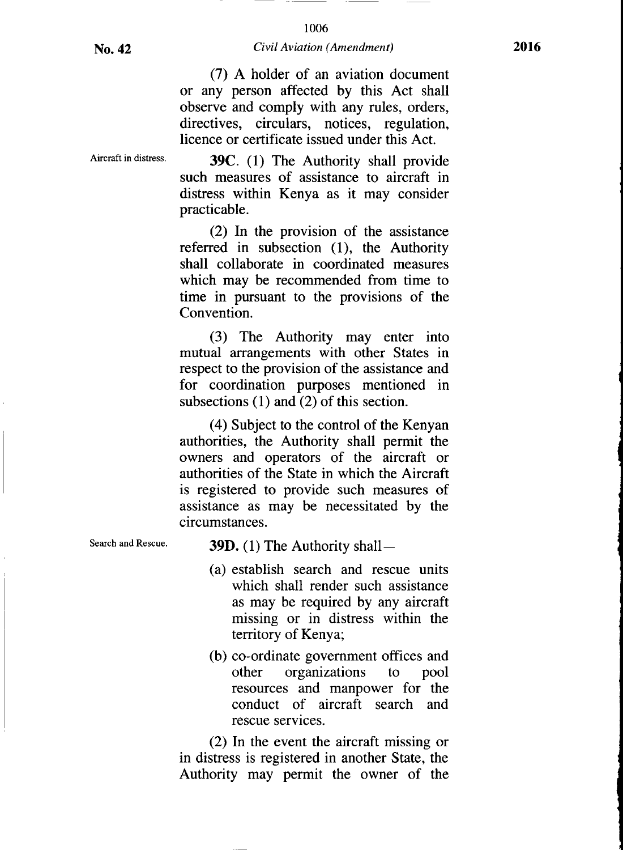(7) A holder of an aviation document or any person affected by this Act shall observe and comply with any rules, orders, directives, circulars, notices, regulation, licence or certificate issued under this Act.

Aircraft in distress.

39C. (1) The Authority shall provide such measures of assistance to aircraft in distress within Kenya as it may consider practicable.

(2) In the provision of the assistance referred in subsection (1), the Authority shall collaborate in coordinated measures which may be recommended from time to time in pursuant to the provisions of the Convention.

(3) The Authority may enter into mutual arrangements with other States in respect to the provision of the assistance and for coordination purposes mentioned in subsections (1) and (2) of this section.

(4) Subject to the control of the Kenyan authorities, the Authority shall permit the owners and operators of the aircraft or authorities of the State in which the Aircraft is registered to provide such measures of assistance as may be necessitated by the circumstances.

Search and Rescue

**39D.** (1) The Authority shall  $-$ 

- (a) establish search and rescue units which shall render such assistance as may be required by any aircraft missing or in distress within the territory of Kenya;
- (b) co-ordinate government offices and other organizations to pool resources and manpower for the conduct of aircraft search and rescue services.

(2) ln the event the aircraft missing or in distress is registered in another State, the Authority may permit the owner of the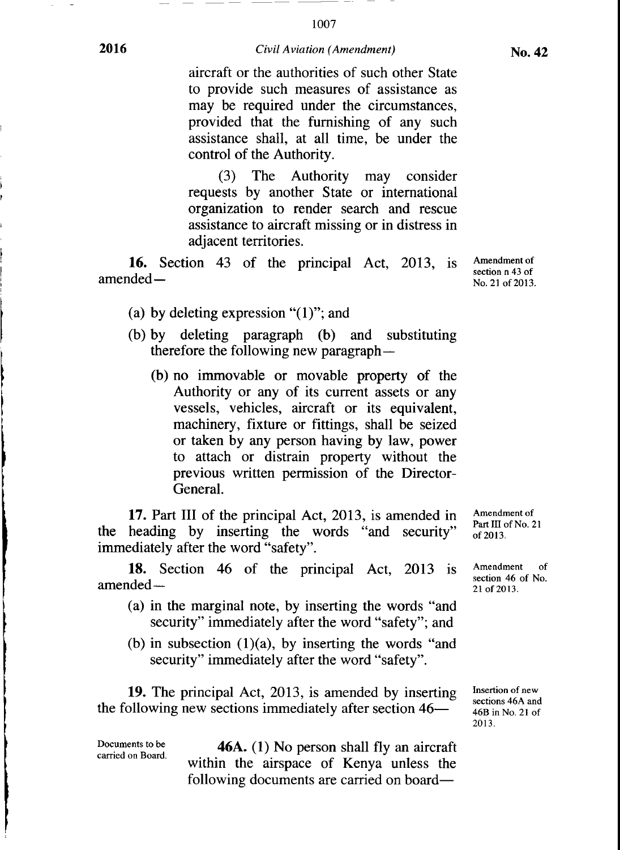1007

aircraft or the authorities of such other State to provide such measures of assistance as may be required under the circumstances, provided that the furnishing of any such assistance shall, at all time, be under the control of the Authority.

(3) The Authority may consider requests by another State or international organization to render search and rescue assistance to aircraft missing or in distress in adjacent territories.

16. Section 43 of the principal Act, 2013, is amended-

(a) by deleting expression "(1)"; and

- (b) by deleting paragraph (b) and substituting therefore the following new paragraph-
	- (b) no immovable or movable property of the Authority or any of its current assets or any vessels, vehicles, aircraft or its equivalent, machinery, fixture or fittings, shall be seized or taken by any person having by law, power to attach or distrain property without the previous written permission of the Director-General.

17. Part III of the principal Act, 2013, is amended in the heading by inserting the words "and security" immediately after the word "safety".

18. Section 46 of the principal Act, 2013 is  $amended-$ 

- (a) in the marginal note, by inserting the words "and security" immediately after the word "safety"; and
- (b) in subsection  $(1)(a)$ , by inserting the words "and security" immediately after the word "safety".

19. The principal Act, 2013, is amended by inserting the following new sections immediately after section 46—

Documents to be **46A.** (1) No person shall fly an aircraft<br>carried on Board. Within the airspace of Kenya unless the following documents are carried on boardAmendment of Part III of No. 2l of 2013.

Amendment of section 46 of No. 21 of 2013.

Insertion of new sections 46A and 46B in No. 2l of 2013.

Amendment of section n 43 of No. 21 of 2013.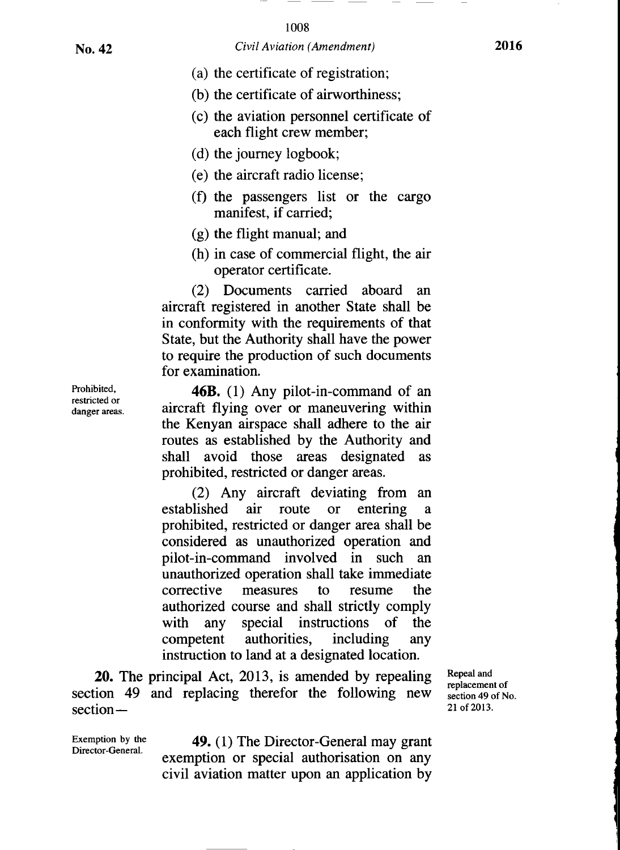- (a) the certificate of registration;
- 
- (b) the certificate of airworthiness;<br>(c) the aviation personnel certificate of each flight crew member;
- (d) the journey logbook;
- (e) the aircraft radio license;
- $(f)$  the passengers list or the cargo manifest, if carried;
- 
- (g) the flight manual; and<br>(h) in case of commercial flight, the air operator certificate.

. aircraft registered in another State shall be (2) Documents carried aboard an in conformity with the requirements of that State, but the Authority shall have the power to require the production of such documents for examination.

Prohibited, **46B.** (1) Any pilot-in-command of an danger areas. aircraft flying over or maneuvering within the Kenyan airspace shall adhere to the air routes as established by the Authority and shall avoid those areas designated as prohibited, restricted or danger areas.

> (2) Any aircraft deviating from an established air route or entering <sup>a</sup> prohibited, restricted or danger area shall be considered as unauthorized operation and pilot-in-command involved in such an unauthorized operation shall take immediate corrective measures to resume the authorized course and shall strictly comply with any special instructions of the competent authorities, including any instruction to land at a designated location.

20. The principal Act, 2013, is amended by repealing section 49 and replacing therefor the following new sectionRepeal and replacement of section 49 of No. 2l of2013.

restricted or

Exemption by the 49. (1) The Director-General may grant Director-General exemption or special authorisation on any civil aviation matter upon an application by